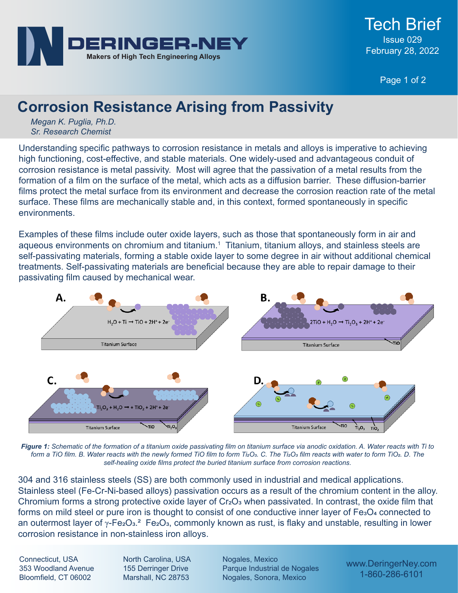

Page 1 of 2

## **Corrosion Resistance Arising from Passivity**

*Megan K. Puglia, Ph.D. Sr. Research Chemist*

Understanding specific pathways to corrosion resistance in metals and alloys is imperative to achieving high functioning, cost-effective, and stable materials. One widely-used and advantageous conduit of corrosion resistance is metal passivity. Most will agree that the passivation of a metal results from the formation of a film on the surface of the metal, which acts as a diffusion barrier. These diffusion-barrier films protect the metal surface from its environment and decrease the corrosion reaction rate of the metal surface. These films are mechanically stable and, in this context, formed spontaneously in specific environments.

Examples of these films include outer oxide layers, such as those that spontaneously form in air and aqueous environments on chromium and titanium.<sup>1</sup> Titanium, titanium alloys, and stainless steels are self-passivating materials, forming a stable oxide layer to some degree in air without additional chemical treatments. Self-passivating materials are beneficial because they are able to repair damage to their passivating film caused by mechanical wear.



*Figure 1: Schematic of the formation of a titanium oxide passivating film on titanium surface via anodic oxidation. A. Water reacts with Ti to form a TiO film. B. Water reacts with the newly formed TiO film to form Ti2O3. C. The Ti2O3 film reacts with water to form TiO2. D. The self-healing oxide films protect the buried titanium surface from corrosion reactions.* 

304 and 316 stainless steels (SS) are both commonly used in industrial and medical applications. Stainless steel (Fe-Cr-Ni-based alloys) passivation occurs as a result of the chromium content in the alloy. Chromium forms a strong protective oxide layer of  $Cr<sub>2</sub>O<sub>3</sub>$  when passivated. In contrast, the oxide film that forms on mild steel or pure iron is thought to consist of one conductive inner layer of Fe<sub>3</sub>O<sub>4</sub> connected to an outermost layer of  $\gamma$ -Fe<sub>2</sub>O<sub>3</sub>.<sup>2</sup> Fe<sub>2</sub>O<sub>3</sub>, commonly known as rust, is flaky and unstable, resulting in lower corrosion resistance in non-stainless iron alloys.

Connecticut, USA 353 Woodland Avenue Bloomfield, CT 06002

North Carolina, USA 155 Derringer Drive Marshall, NC 28753

Nogales, Mexico Parque Industrial de Nogales Nogales, Sonora, Mexico

www.DeringerNey.com 1-860-286-6101